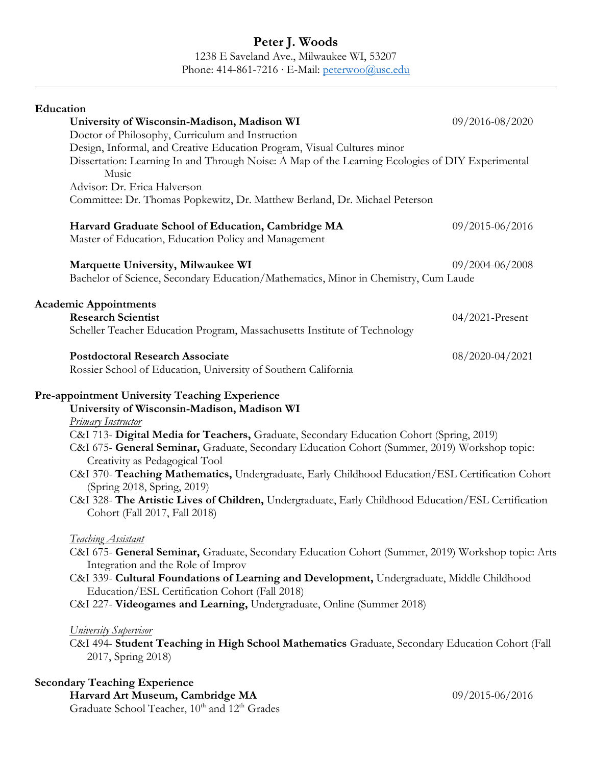# **Peter J. Woods**

1238 E Saveland Ave., Milwaukee WI, 53207

Phone: 414-861-7216 ∙ E-Mail: [peterwoo@usc.edu](mailto:peterwoo@usc.edu)

| Education                                                                                                                                                                                                                                                                                                                                                                                                                                                                                                                                                                                                                                                                                                                                                                                                                                                                                                                                                                                              |                     |
|--------------------------------------------------------------------------------------------------------------------------------------------------------------------------------------------------------------------------------------------------------------------------------------------------------------------------------------------------------------------------------------------------------------------------------------------------------------------------------------------------------------------------------------------------------------------------------------------------------------------------------------------------------------------------------------------------------------------------------------------------------------------------------------------------------------------------------------------------------------------------------------------------------------------------------------------------------------------------------------------------------|---------------------|
| University of Wisconsin-Madison, Madison WI                                                                                                                                                                                                                                                                                                                                                                                                                                                                                                                                                                                                                                                                                                                                                                                                                                                                                                                                                            | 09/2016-08/2020     |
| Doctor of Philosophy, Curriculum and Instruction                                                                                                                                                                                                                                                                                                                                                                                                                                                                                                                                                                                                                                                                                                                                                                                                                                                                                                                                                       |                     |
| Design, Informal, and Creative Education Program, Visual Cultures minor                                                                                                                                                                                                                                                                                                                                                                                                                                                                                                                                                                                                                                                                                                                                                                                                                                                                                                                                |                     |
| Dissertation: Learning In and Through Noise: A Map of the Learning Ecologies of DIY Experimental<br>Music                                                                                                                                                                                                                                                                                                                                                                                                                                                                                                                                                                                                                                                                                                                                                                                                                                                                                              |                     |
| Advisor: Dr. Erica Halverson                                                                                                                                                                                                                                                                                                                                                                                                                                                                                                                                                                                                                                                                                                                                                                                                                                                                                                                                                                           |                     |
| Committee: Dr. Thomas Popkewitz, Dr. Matthew Berland, Dr. Michael Peterson                                                                                                                                                                                                                                                                                                                                                                                                                                                                                                                                                                                                                                                                                                                                                                                                                                                                                                                             |                     |
| Harvard Graduate School of Education, Cambridge MA<br>Master of Education, Education Policy and Management                                                                                                                                                                                                                                                                                                                                                                                                                                                                                                                                                                                                                                                                                                                                                                                                                                                                                             | $09/2015 - 06/2016$ |
| Marquette University, Milwaukee WI                                                                                                                                                                                                                                                                                                                                                                                                                                                                                                                                                                                                                                                                                                                                                                                                                                                                                                                                                                     | 09/2004-06/2008     |
| Bachelor of Science, Secondary Education/Mathematics, Minor in Chemistry, Cum Laude                                                                                                                                                                                                                                                                                                                                                                                                                                                                                                                                                                                                                                                                                                                                                                                                                                                                                                                    |                     |
|                                                                                                                                                                                                                                                                                                                                                                                                                                                                                                                                                                                                                                                                                                                                                                                                                                                                                                                                                                                                        |                     |
| <b>Academic Appointments</b><br><b>Research Scientist</b>                                                                                                                                                                                                                                                                                                                                                                                                                                                                                                                                                                                                                                                                                                                                                                                                                                                                                                                                              | 04/2021-Present     |
| Scheller Teacher Education Program, Massachusetts Institute of Technology                                                                                                                                                                                                                                                                                                                                                                                                                                                                                                                                                                                                                                                                                                                                                                                                                                                                                                                              |                     |
|                                                                                                                                                                                                                                                                                                                                                                                                                                                                                                                                                                                                                                                                                                                                                                                                                                                                                                                                                                                                        |                     |
| <b>Postdoctoral Research Associate</b>                                                                                                                                                                                                                                                                                                                                                                                                                                                                                                                                                                                                                                                                                                                                                                                                                                                                                                                                                                 | 08/2020-04/2021     |
| Rossier School of Education, University of Southern California                                                                                                                                                                                                                                                                                                                                                                                                                                                                                                                                                                                                                                                                                                                                                                                                                                                                                                                                         |                     |
| University of Wisconsin-Madison, Madison WI<br><b>Primary Instructor</b><br>C&I 713- Digital Media for Teachers, Graduate, Secondary Education Cohort (Spring, 2019)<br>C&I 675- General Seminar, Graduate, Secondary Education Cohort (Summer, 2019) Workshop topic:<br>Creativity as Pedagogical Tool<br>C&I 370- Teaching Mathematics, Undergraduate, Early Childhood Education/ESL Certification Cohort<br>(Spring 2018, Spring, 2019)<br>C&I 328- The Artistic Lives of Children, Undergraduate, Early Childhood Education/ESL Certification<br>Cohort (Fall 2017, Fall 2018)<br>Teaching Assistant<br>C&I 675- General Seminar, Graduate, Secondary Education Cohort (Summer, 2019) Workshop topic: Arts<br>Integration and the Role of Improv<br>C&I 339- Cultural Foundations of Learning and Development, Undergraduate, Middle Childhood<br>Education/ESL Certification Cohort (Fall 2018)<br>C&I 227- Videogames and Learning, Undergraduate, Online (Summer 2018)<br>University Supervisor |                     |
| C&I 494- Student Teaching in High School Mathematics Graduate, Secondary Education Cohort (Fall<br>2017, Spring 2018)                                                                                                                                                                                                                                                                                                                                                                                                                                                                                                                                                                                                                                                                                                                                                                                                                                                                                  |                     |

**Secondary Teaching Experience Harvard Art Museum, Cambridge MA** 09/2015-06/2016 Graduate School Teacher,  $10^{th}$  and  $12^{th}$  Grades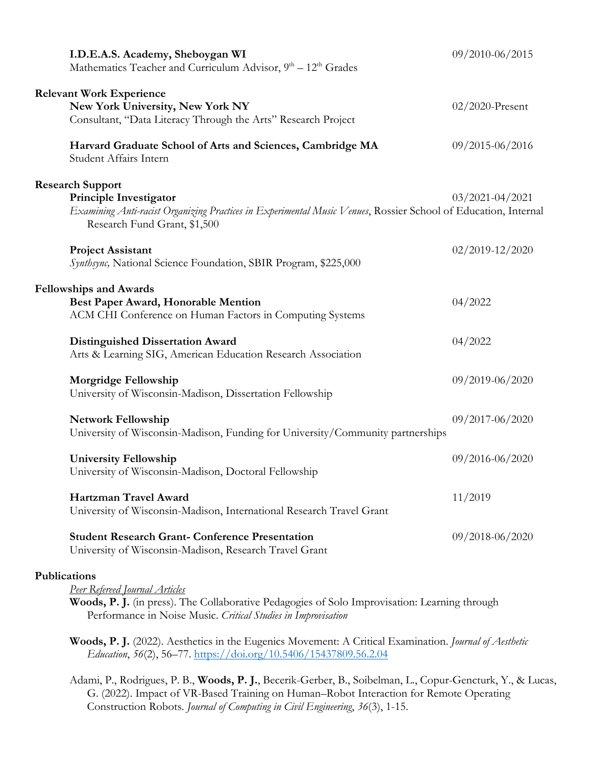| I.D.E.A.S. Academy, Sheboygan WI<br>Mathematics Teacher and Curriculum Advisor, 9 <sup>th</sup> - 12 <sup>th</sup> Grades                                                                                               | 09/2010-06/2015     |
|-------------------------------------------------------------------------------------------------------------------------------------------------------------------------------------------------------------------------|---------------------|
| <b>Relevant Work Experience</b><br>New York University, New York NY<br>Consultant, "Data Literacy Through the Arts" Research Project                                                                                    | 02/2020-Present     |
| Harvard Graduate School of Arts and Sciences, Cambridge MA<br>Student Affairs Intern                                                                                                                                    | 09/2015-06/2016     |
| <b>Research Support</b><br>Principle Investigator<br>Examining Anti-racist Organizing Practices in Experimental Music Venues, Rossier School of Education, Internal<br>Research Fund Grant, \$1,500                     | $03/2021 - 04/2021$ |
| <b>Project Assistant</b><br>Synthsyne, National Science Foundation, SBIR Program, \$225,000                                                                                                                             | 02/2019-12/2020     |
| <b>Fellowships and Awards</b><br>Best Paper Award, Honorable Mention<br>ACM CHI Conference on Human Factors in Computing Systems                                                                                        | 04/2022             |
| <b>Distinguished Dissertation Award</b><br>Arts & Learning SIG, American Education Research Association                                                                                                                 | 04/2022             |
| Morgridge Fellowship<br>University of Wisconsin-Madison, Dissertation Fellowship                                                                                                                                        | 09/2019-06/2020     |
| <b>Network Fellowship</b><br>University of Wisconsin-Madison, Funding for University/Community partnerships                                                                                                             | 09/2017-06/2020     |
| <b>University Fellowship</b><br>University of Wisconsin-Madison, Doctoral Fellowship                                                                                                                                    | 09/2016-06/2020     |
| Hartzman Travel Award<br>University of Wisconsin-Madison, International Research Travel Grant                                                                                                                           | 11/2019             |
| <b>Student Research Grant- Conference Presentation</b><br>University of Wisconsin-Madison, Research Travel Grant                                                                                                        | 09/2018-06/2020     |
| Publications<br><b>Peer Refereed Journal Articles</b><br>Woods, P. J. (in press). The Collaborative Pedagogies of Solo Improvisation: Learning through<br>Performance in Noise Music. Critical Studies in Improvisation |                     |
| Woods, P. J. (2022). Aesthetics in the Eugenics Movement: A Critical Examination. Journal of Aesthetic<br>Education, 56(2), 56-77. https://doi.org/10.5406/15437809.56.2.04                                             |                     |
| Adami, P., Rodrigues, P. B., Woods, P. J., Becerik-Gerber, B., Soibelman, L., Copur-Gencturk, Y., & Lucas,                                                                                                              |                     |

G. (2022). Impact of VR-Based Training on Human–Robot Interaction for Remote Operating Construction Robots. *Journal of Computing in Civil Engineering*, *36*(3), 1-15.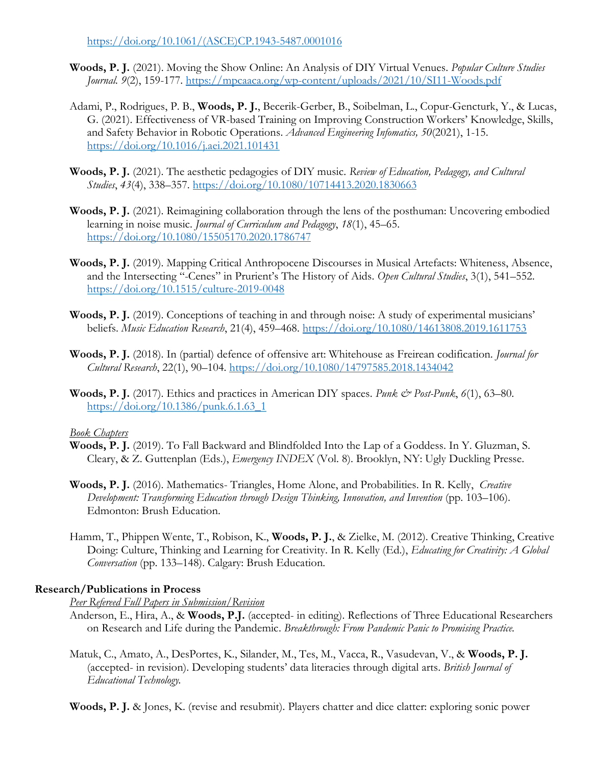[https://doi.org/10.1061/\(ASCE\)CP.1943-5487.0001016](https://doi.org/10.1061/(ASCE)CP.1943-5487.0001016)

- **Woods, P. J.** (2021). Moving the Show Online: An Analysis of DIY Virtual Venues. *Popular Culture Studies Journal. 9*(2), 159-177.<https://mpcaaca.org/wp-content/uploads/2021/10/SI11-Woods.pdf>
- Adami, P., Rodrigues, P. B., **Woods, P. J.**, Becerik-Gerber, B., Soibelman, L., Copur-Gencturk, Y., & Lucas, G. (2021). Effectiveness of VR-based Training on Improving Construction Workers' Knowledge, Skills, and Safety Behavior in Robotic Operations. *Advanced Engineering Infomatics, 50*(2021), 1-15. <https://doi.org/10.1016/j.aei.2021.101431>
- **Woods, P. J.** (2021). The aesthetic pedagogies of DIY music. *Review of Education, Pedagogy, and Cultural Studies*, *43*(4), 338–357.<https://doi.org/10.1080/10714413.2020.1830663>
- **Woods, P. J.** (2021). Reimagining collaboration through the lens of the posthuman: Uncovering embodied learning in noise music. *Journal of Curriculum and Pedagogy*, *18*(1), 45–65. <https://doi.org/10.1080/15505170.2020.1786747>
- **Woods, P. J.** (2019). Mapping Critical Anthropocene Discourses in Musical Artefacts: Whiteness, Absence, and the Intersecting "-Cenes" in Prurient's The History of Aids. *Open Cultural Studies*, 3(1), 541–552. <https://doi.org/10.1515/culture-2019-0048>
- **Woods, P. J.** (2019). Conceptions of teaching in and through noise: A study of experimental musicians' beliefs. *Music Education Research*, 21(4), 459–468.<https://doi.org/10.1080/14613808.2019.1611753>
- **Woods, P. J.** (2018). In (partial) defence of offensive art: Whitehouse as Freirean codification. *Journal for Cultural Research*, 22(1), 90–104.<https://doi.org/10.1080/14797585.2018.1434042>
- **Woods, P. J.** (2017). Ethics and practices in American DIY spaces. *Punk & Post-Punk*, *6*(1), 63–80. [https://doi.org/10.1386/punk.6.1.63\\_1](https://doi.org/10.1386/punk.6.1.63_1)

# *Book Chapters*

- **Woods, P. J.** (2019). To Fall Backward and Blindfolded Into the Lap of a Goddess. In Y. Gluzman, S. Cleary, & Z. Guttenplan (Eds.), *Emergency INDEX* (Vol. 8). Brooklyn, NY: Ugly Duckling Presse.
- **Woods, P. J.** (2016). Mathematics- Triangles, Home Alone, and Probabilities. In R. Kelly, *Creative Development: Transforming Education through Design Thinking, Innovation, and Invention* (pp. 103–106). Edmonton: Brush Education.
- Hamm, T., Phippen Wente, T., Robison, K., **Woods, P. J.**, & Zielke, M. (2012). Creative Thinking, Creative Doing: Culture, Thinking and Learning for Creativity. In R. Kelly (Ed.), *Educating for Creativity: A Global Conversation* (pp. 133–148). Calgary: Brush Education.

### **Research/Publications in Process**

*Peer Refereed Full Papers in Submission/Revision*

- Anderson, E., Hira, A., & **Woods, P.J.** (accepted- in editing). Reflections of Three Educational Researchers on Research and Life during the Pandemic. *Breakthrough: From Pandemic Panic to Promising Practice.*
- Matuk, C., Amato, A., DesPortes, K., Silander, M., Tes, M., Vacca, R., Vasudevan, V., & **Woods, P. J.** (accepted- in revision). Developing students' data literacies through digital arts. *British Journal of Educational Technology.*

**Woods, P. J.** & Jones, K. (revise and resubmit). Players chatter and dice clatter: exploring sonic power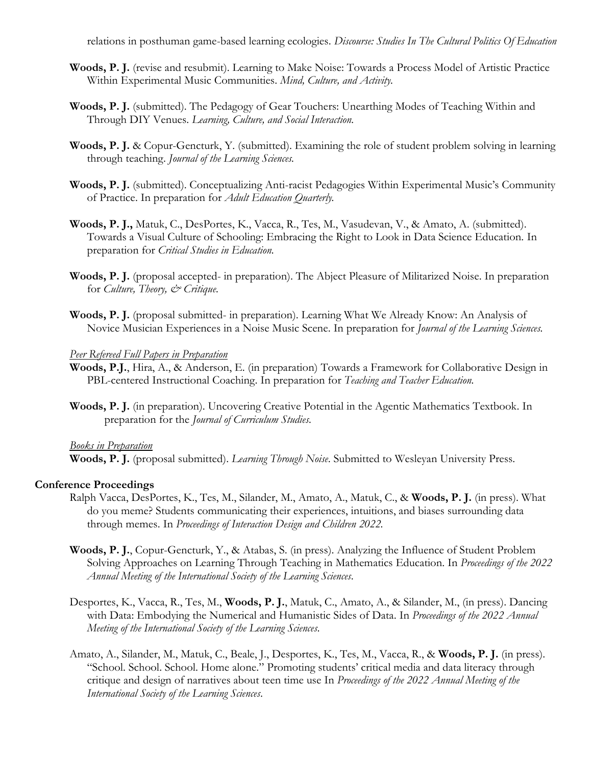relations in posthuman game-based learning ecologies. *Discourse: Studies In The Cultural Politics Of Education*

- **Woods, P. J.** (revise and resubmit). Learning to Make Noise: Towards a Process Model of Artistic Practice Within Experimental Music Communities. *Mind, Culture, and Activity.*
- **Woods, P. J.** (submitted). The Pedagogy of Gear Touchers: Unearthing Modes of Teaching Within and Through DIY Venues. *Learning, Culture, and Social Interaction.*
- **Woods, P. J.** & Copur-Gencturk, Y. (submitted). Examining the role of student problem solving in learning through teaching. *Journal of the Learning Sciences.*
- **Woods, P. J.** (submitted). Conceptualizing Anti-racist Pedagogies Within Experimental Music's Community of Practice. In preparation for *Adult Education Quarterly.*
- **Woods, P. J.,** Matuk, C., DesPortes, K., Vacca, R., Tes, M., Vasudevan, V., & Amato, A. (submitted). Towards a Visual Culture of Schooling: Embracing the Right to Look in Data Science Education. In preparation for *Critical Studies in Education.*
- **Woods, P. J.** (proposal accepted- in preparation). The Abject Pleasure of Militarized Noise. In preparation for *Culture, Theory, & Critique.*
- **Woods, P. J.** (proposal submitted- in preparation). Learning What We Already Know: An Analysis of Novice Musician Experiences in a Noise Music Scene. In preparation for *Journal of the Learning Sciences.*

#### *Peer Refereed Full Papers in Preparation*

- **Woods, P.J.**, Hira, A., & Anderson, E. (in preparation) Towards a Framework for Collaborative Design in PBL-centered Instructional Coaching. In preparation for *Teaching and Teacher Education.*
- **Woods, P. J.** (in preparation). Uncovering Creative Potential in the Agentic Mathematics Textbook. In preparation for the *Journal of Curriculum Studies.*

### *Books in Preparation*

**Woods, P. J.** (proposal submitted). *Learning Through Noise*. Submitted to Wesleyan University Press.

### **Conference Proceedings**

- Ralph Vacca, DesPortes, K., Tes, M., Silander, M., Amato, A., Matuk, C., & **Woods, P. J.** (in press). What do you meme? Students communicating their experiences, intuitions, and biases surrounding data through memes. In *Proceedings of Interaction Design and Children 2022.*
- **Woods, P. J.**, Copur-Gencturk, Y., & Atabas, S. (in press). Analyzing the Influence of Student Problem Solving Approaches on Learning Through Teaching in Mathematics Education. In *Proceedings of the 2022 Annual Meeting of the International Society of the Learning Sciences*.
- Desportes, K., Vacca, R., Tes, M., **Woods, P. J.**, Matuk, C., Amato, A., & Silander, M., (in press). Dancing with Data: Embodying the Numerical and Humanistic Sides of Data. In *Proceedings of the 2022 Annual Meeting of the International Society of the Learning Sciences*.
- Amato, A., Silander, M., Matuk, C., Beale, J., Desportes, K., Tes, M., Vacca, R., & **Woods, P. J.** (in press). "School. School. School. Home alone." Promoting students' critical media and data literacy through critique and design of narratives about teen time use In *Proceedings of the 2022 Annual Meeting of the International Society of the Learning Sciences*.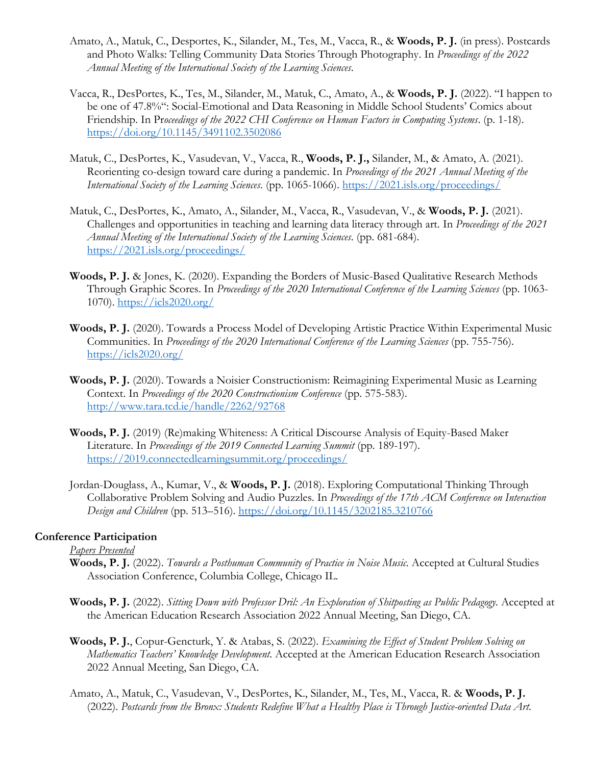- Amato, A., Matuk, C., Desportes, K., Silander, M., Tes, M., Vacca, R., & **Woods, P. J.** (in press). Postcards and Photo Walks: Telling Community Data Stories Through Photography. In *Proceedings of the 2022 Annual Meeting of the International Society of the Learning Sciences*.
- Vacca, R., DesPortes, K., Tes, M., Silander, M., Matuk, C., Amato, A., & **Woods, P. J.** (2022). "I happen to be one of 47.8%": Social-Emotional and Data Reasoning in Middle School Students' Comics about Friendship. In Pr*oceedings of the 2022 CHI Conference on Human Factors in Computing Systems*. (p. 1-18). <https://doi.org/10.1145/3491102.3502086>
- Matuk, C., DesPortes, K., Vasudevan, V., Vacca, R., **Woods, P. J.,** Silander, M., & Amato, A. (2021). Reorienting co-design toward care during a pandemic. In *Proceedings of the 2021 Annual Meeting of the International Society of the Learning Sciences*. (pp. 1065-1066).<https://2021.isls.org/proceedings/>
- Matuk, C., DesPortes, K., Amato, A., Silander, M., Vacca, R., Vasudevan, V., & **Woods, P. J.** (2021). Challenges and opportunities in teaching and learning data literacy through art. In *Proceedings of the 2021 Annual Meeting of the International Society of the Learning Sciences*. (pp. 681-684). <https://2021.isls.org/proceedings/>
- **Woods, P. J.** & Jones, K. (2020). Expanding the Borders of Music-Based Qualitative Research Methods Through Graphic Scores. In *Proceedings of the 2020 International Conference of the Learning Sciences* (pp. 1063- 1070).<https://icls2020.org/>
- **Woods, P. J.** (2020). Towards a Process Model of Developing Artistic Practice Within Experimental Music Communities. In *Proceedings of the 2020 International Conference of the Learning Sciences* (pp. 755-756). <https://icls2020.org/>
- **Woods, P. J.** (2020). Towards a Noisier Constructionism: Reimagining Experimental Music as Learning Context. In *Proceedings of the 2020 Constructionism Conference* (pp. 575-583). <http://www.tara.tcd.ie/handle/2262/92768>
- **Woods, P. J.** (2019) (Re)making Whiteness: A Critical Discourse Analysis of Equity-Based Maker Literature. In *Proceedings of the 2019 Connected Learning Summit* (pp. 189-197). <https://2019.connectedlearningsummit.org/proceedings/>
- Jordan-Douglass, A., Kumar, V., & **Woods, P. J.** (2018). Exploring Computational Thinking Through Collaborative Problem Solving and Audio Puzzles. In *Proceedings of the 17th ACM Conference on Interaction Design and Children* (pp. 513–516).<https://doi.org/10.1145/3202185.3210766>

# **Conference Participation**

### *Papers Presented*

- **Woods, P. J.** (2022). *Towards a Posthuman Community of Practice in Noise Music.* Accepted at Cultural Studies Association Conference, Columbia College, Chicago IL.
- **Woods, P. J.** (2022). *Sitting Down with Professor Dril: An Exploration of Shitposting as Public Pedagogy.* Accepted at the American Education Research Association 2022 Annual Meeting, San Diego, CA.
- **Woods, P. J.**, Copur-Gencturk, Y. & Atabas, S. (2022). *Examining the Effect of Student Problem Solving on Mathematics Teachers' Knowledge Development.* Accepted at the American Education Research Association 2022 Annual Meeting, San Diego, CA.
- Amato, A., Matuk, C., Vasudevan, V., DesPortes, K., Silander, M., Tes, M., Vacca, R. & **Woods, P. J.** (2022). *Postcards from the Bronx: Students Redefine What a Healthy Place is Through Justice-oriented Data Art.*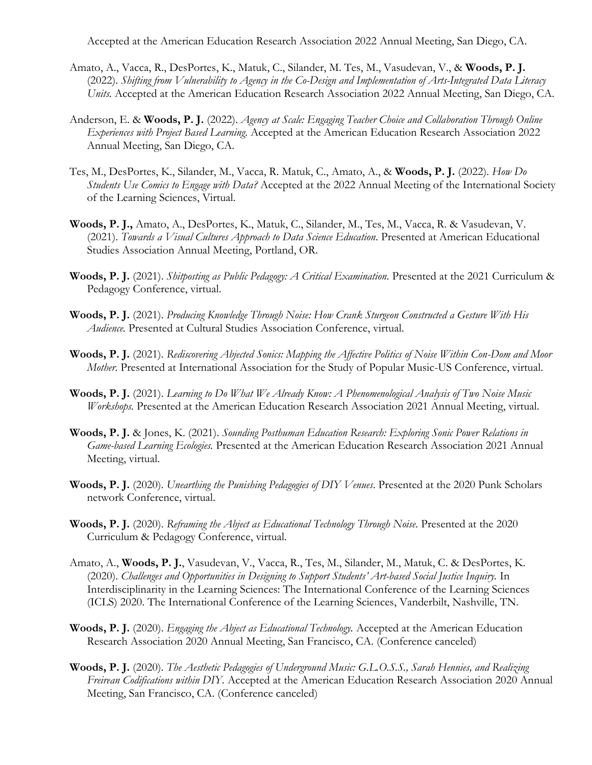Accepted at the American Education Research Association 2022 Annual Meeting, San Diego, CA.

- Amato, A., Vacca, R., DesPortes, K., Matuk, C., Silander, M. Tes, M., Vasudevan, V., & **Woods, P. J.** (2022). *Shifting from Vulnerability to Agency in the Co-Design and Implementation of Arts-Integrated Data Literacy Units.* Accepted at the American Education Research Association 2022 Annual Meeting, San Diego, CA.
- Anderson, E. & **Woods, P. J.** (2022). *Agency at Scale: Engaging Teacher Choice and Collaboration Through Online Experiences with Project Based Learning.* Accepted at the American Education Research Association 2022 Annual Meeting, San Diego, CA.
- Tes, M., DesPortes, K., Silander, M., Vacca, R. Matuk, C., Amato, A., & **Woods, P. J.** (2022). *How Do Students Use Comics to Engage with Data?* Accepted at the 2022 Annual Meeting of the International Society of the Learning Sciences, Virtual.
- **Woods, P. J.,** Amato, A., DesPortes, K., Matuk, C., Silander, M., Tes, M., Vacca, R. & Vasudevan, V. (2021). *Towards a Visual Cultures Approach to Data Science Education.* Presented at American Educational Studies Association Annual Meeting, Portland, OR.
- **Woods, P. J.** (2021). *Shitposting as Public Pedagogy: A Critical Examination.* Presented at the 2021 Curriculum & Pedagogy Conference, virtual.
- **Woods, P. J.** (2021). *Producing Knowledge Through Noise: How Crank Sturgeon Constructed a Gesture With His Audience.* Presented at Cultural Studies Association Conference, virtual.
- **Woods, P. J.** (2021). *Rediscovering Abjected Sonics: Mapping the Affective Politics of Noise Within Con-Dom and Moor Mother.* Presented at International Association for the Study of Popular Music-US Conference, virtual.
- **Woods, P. J.** (2021). *Learning to Do What We Already Know: A Phenomenological Analysis of Two Noise Music Workshops.* Presented at the American Education Research Association 2021 Annual Meeting, virtual.
- **Woods, P. J.** & Jones, K. (2021). *Sounding Posthuman Education Research: Exploring Sonic Power Relations in Game-based Learning Ecologies.* Presented at the American Education Research Association 2021 Annual Meeting, virtual.
- **Woods, P. J.** (2020). *Unearthing the Punishing Pedagogies of DIY Venues*. Presented at the 2020 Punk Scholars network Conference, virtual.
- **Woods, P. J.** (2020). *Reframing the Abject as Educational Technology Through Noise*. Presented at the 2020 Curriculum & Pedagogy Conference, virtual.
- Amato, A., **Woods, P. J.**, Vasudevan, V., Vacca, R., Tes, M., Silander, M., Matuk, C. & DesPortes, K. (2020). *Challenges and Opportunities in Designing to Support Students' Art-based Social Justice Inquiry.* In Interdisciplinarity in the Learning Sciences: The International Conference of the Learning Sciences (ICLS) 2020. The International Conference of the Learning Sciences, Vanderbilt, Nashville, TN.
- **Woods, P. J.** (2020). *Engaging the Abject as Educational Technology.* Accepted at the American Education Research Association 2020 Annual Meeting, San Francisco, CA. (Conference canceled)
- **Woods, P. J.** (2020). *The Aesthetic Pedagogies of Underground Music: G.L.O.S.S., Sarah Hennies, and Realizing Freirean Codifications within DIY.* Accepted at the American Education Research Association 2020 Annual Meeting, San Francisco, CA. (Conference canceled)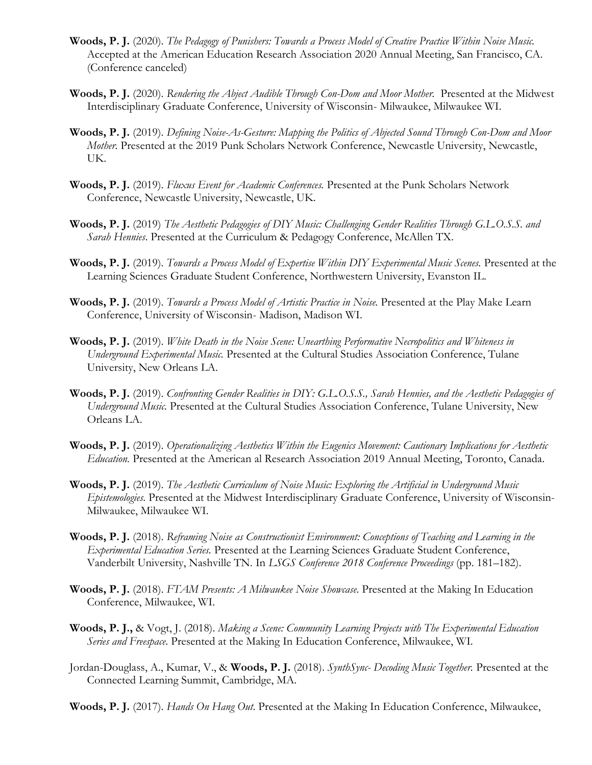- **Woods, P. J.** (2020). *The Pedagogy of Punishers: Towards a Process Model of Creative Practice Within Noise Music.* Accepted at the American Education Research Association 2020 Annual Meeting, San Francisco, CA. (Conference canceled)
- **Woods, P. J.** (2020). *Rendering the Abject Audible Through Con-Dom and Moor Mother.* Presented at the Midwest Interdisciplinary Graduate Conference, University of Wisconsin- Milwaukee, Milwaukee WI.
- **Woods, P. J.** (2019). *Defining Noise-As-Gesture: Mapping the Politics of Abjected Sound Through Con-Dom and Moor Mother.* Presented at the 2019 Punk Scholars Network Conference, Newcastle University, Newcastle, UK.
- **Woods, P. J.** (2019). *Fluxus Event for Academic Conferences.* Presented at the Punk Scholars Network Conference, Newcastle University, Newcastle, UK.
- **Woods, P. J.** (2019) *The Aesthetic Pedagogies of DIY Music: Challenging Gender Realities Through G.L.O.S.S. and Sarah Hennies*. Presented at the Curriculum & Pedagogy Conference, McAllen TX.
- **Woods, P. J.** (2019). *Towards a Process Model of Expertise Within DIY Experimental Music Scenes.* Presented at the Learning Sciences Graduate Student Conference, Northwestern University, Evanston IL.
- **Woods, P. J.** (2019). *Towards a Process Model of Artistic Practice in Noise.* Presented at the Play Make Learn Conference, University of Wisconsin- Madison, Madison WI.
- **Woods, P. J.** (2019). *White Death in the Noise Scene: Unearthing Performative Necropolitics and Whiteness in Underground Experimental Music.* Presented at the Cultural Studies Association Conference, Tulane University, New Orleans LA.
- **Woods, P. J.** (2019). *Confronting Gender Realities in DIY: G.L.O.S.S., Sarah Hennies, and the Aesthetic Pedagogies of Underground Music.* Presented at the Cultural Studies Association Conference, Tulane University, New Orleans LA.
- **Woods, P. J.** (2019). *Operationalizing Aesthetics Within the Eugenics Movement: Cautionary Implications for Aesthetic Education.* Presented at the American al Research Association 2019 Annual Meeting, Toronto, Canada.
- **Woods, P. J.** (2019). *The Aesthetic Curriculum of Noise Music: Exploring the Artificial in Underground Music Epistemologies.* Presented at the Midwest Interdisciplinary Graduate Conference, University of Wisconsin-Milwaukee, Milwaukee WI.
- **Woods, P. J.** (2018). *Reframing Noise as Constructionist Environment: Conceptions of Teaching and Learning in the Experimental Education Series.* Presented at the Learning Sciences Graduate Student Conference, Vanderbilt University, Nashville TN. In *LSGS Conference 2018 Conference Proceedings* (pp. 181–182).
- **Woods, P. J.** (2018). *FTAM Presents: A Milwaukee Noise Showcase.* Presented at the Making In Education Conference, Milwaukee, WI.
- **Woods, P. J.,** & Vogt, J. (2018). *Making a Scene: Community Learning Projects with The Experimental Education Series and Freespace*. Presented at the Making In Education Conference, Milwaukee, WI.
- Jordan-Douglass, A., Kumar, V., & **Woods, P. J.** (2018). *SynthSync- Decoding Music Together.* Presented at the Connected Learning Summit, Cambridge, MA.
- **Woods, P. J.** (2017). *Hands On Hang Out*. Presented at the Making In Education Conference, Milwaukee,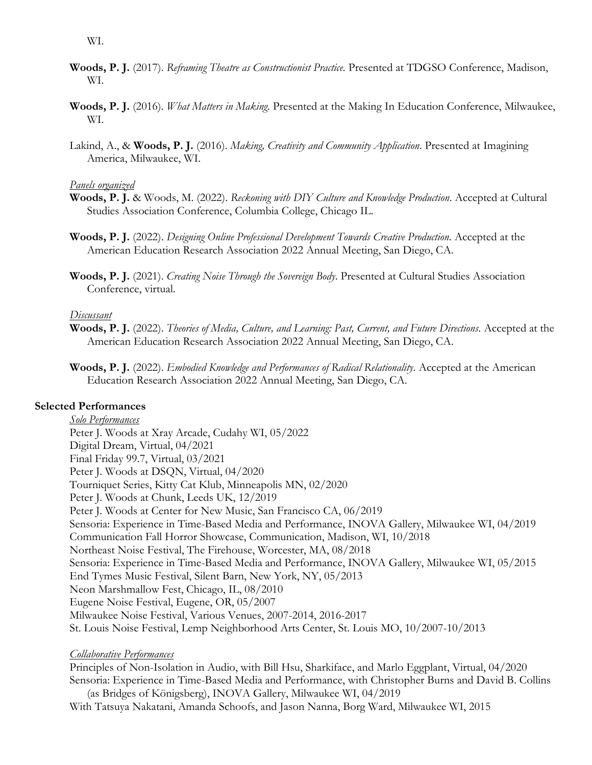- **Woods, P. J.** (2017). *Reframing Theatre as Constructionist Practice.* Presented at TDGSO Conference, Madison, WI.
- **Woods, P. J.** (2016). *What Matters in Making.* Presented at the Making In Education Conference, Milwaukee, WI.
- Lakind, A., & **Woods, P. J.** (2016). *Making, Creativity and Community Application*. Presented at Imagining America, Milwaukee, WI.

#### *Panels organized*

- **Woods, P. J.** & Woods, M. (2022). *Reckoning with DIY Culture and Knowledge Production*. Accepted at Cultural Studies Association Conference, Columbia College, Chicago IL.
- **Woods, P. J.** (2022). *Designing Online Professional Development Towards Creative Production.* Accepted at the American Education Research Association 2022 Annual Meeting, San Diego, CA.
- **Woods, P. J.** (2021). *Creating Noise Through the Sovereign Body*. Presented at Cultural Studies Association Conference, virtual.

#### *Discussant*

- **Woods, P. J.** (2022). *Theories of Media, Culture, and Learning: Past, Current, and Future Directions.* Accepted at the American Education Research Association 2022 Annual Meeting, San Diego, CA.
- **Woods, P. J.** (2022). *Embodied Knowledge and Performances of Radical Relationality.* Accepted at the American Education Research Association 2022 Annual Meeting, San Diego, CA.

# **Selected Performances**

*Solo Performances* Peter J. Woods at Xray Arcade, Cudahy WI, 05/2022 Digital Dream, Virtual, 04/2021 Final Friday 99.7, Virtual, 03/2021 Peter J. Woods at DSQN, Virtual, 04/2020 Tourniquet Series, Kitty Cat Klub, Minneapolis MN, 02/2020 Peter J. Woods at Chunk, Leeds UK, 12/2019 Peter J. Woods at Center for New Music, San Francisco CA, 06/2019 Sensoria: Experience in Time-Based Media and Performance, INOVA Gallery, Milwaukee WI, 04/2019 Communication Fall Horror Showcase, Communication, Madison, WI, 10/2018 Northeast Noise Festival, The Firehouse, Worcester, MA, 08/2018 Sensoria: Experience in Time-Based Media and Performance, INOVA Gallery, Milwaukee WI, 05/2015 End Tymes Music Festival, Silent Barn, New York, NY, 05/2013 Neon Marshmallow Fest, Chicago, IL, 08/2010 Eugene Noise Festival, Eugene, OR, 05/2007 Milwaukee Noise Festival, Various Venues, 2007-2014, 2016-2017 St. Louis Noise Festival, Lemp Neighborhood Arts Center, St. Louis MO, 10/2007-10/2013

#### *Collaborative Performances*

Principles of Non-Isolation in Audio, with Bill Hsu, Sharkiface, and Marlo Eggplant, Virtual, 04/2020 Sensoria: Experience in Time-Based Media and Performance, with Christopher Burns and David B. Collins (as Bridges of Königsberg), INOVA Gallery, Milwaukee WI, 04/2019 With Tatsuya Nakatani, Amanda Schoofs, and Jason Nanna, Borg Ward, Milwaukee WI, 2015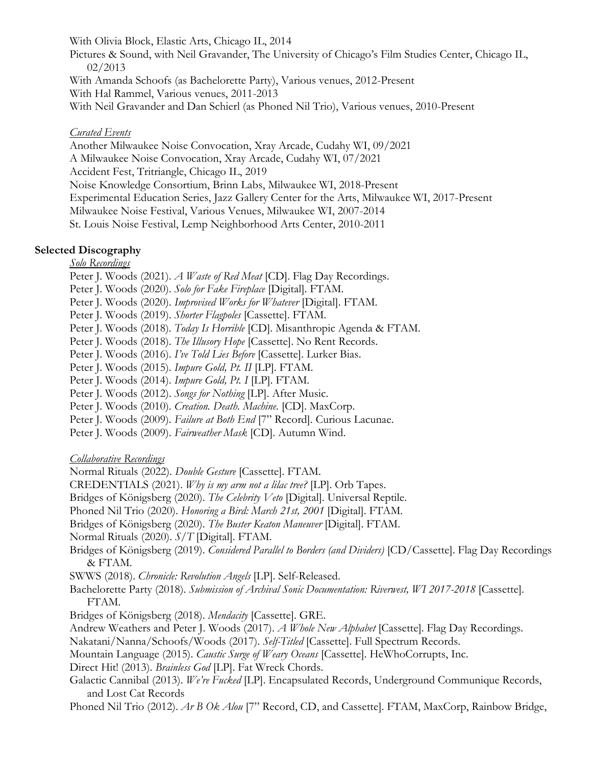With Olivia Block, Elastic Arts, Chicago IL, 2014 Pictures & Sound, with Neil Gravander, The University of Chicago's Film Studies Center, Chicago IL, 02/2013 With Amanda Schoofs (as Bachelorette Party), Various venues, 2012-Present With Hal Rammel, Various venues, 2011-2013 With Neil Gravander and Dan Schierl (as Phoned Nil Trio), Various venues, 2010-Present

# *Curated Events*

Another Milwaukee Noise Convocation, Xray Arcade, Cudahy WI, 09/2021 A Milwaukee Noise Convocation, Xray Arcade, Cudahy WI, 07/2021 Accident Fest, Tritriangle, Chicago IL, 2019 Noise Knowledge Consortium, Brinn Labs, Milwaukee WI, 2018-Present Experimental Education Series, Jazz Gallery Center for the Arts, Milwaukee WI, 2017-Present Milwaukee Noise Festival, Various Venues, Milwaukee WI, 2007-2014 St. Louis Noise Festival, Lemp Neighborhood Arts Center, 2010-2011

# **Selected Discography**

*Solo Recordings*

Peter J. Woods (2021). *A Waste of Red Meat* [CD]. Flag Day Recordings.

Peter J. Woods (2020). *Solo for Fake Fireplace* [Digital]. FTAM.

Peter J. Woods (2020). *Improvised Works for Whatever* [Digital]. FTAM.

Peter J. Woods (2019). *Shorter Flagpoles* [Cassette]. FTAM.

Peter J. Woods (2018). *Today Is Horrible* [CD]. Misanthropic Agenda & FTAM.

Peter J. Woods (2018). *The Illusory Hope* [Cassette]. No Rent Records.

Peter J. Woods (2016). *I've Told Lies Before* [Cassette]. Lurker Bias.

Peter J. Woods (2015). *Impure Gold, Pt. II* [LP]. FTAM.

Peter J. Woods (2014). *Impure Gold, Pt. I* [LP]. FTAM.

Peter J. Woods (2012). *Songs for Nothing* [LP]. After Music.

Peter J. Woods (2010). *Creation. Death. Machine.* [CD]. MaxCorp.

Peter J. Woods (2009). *Failure at Both End* [7" Record]. Curious Lacunae.

Peter J. Woods (2009). *Fairweather Mask* [CD]. Autumn Wind.

# *Collaborative Recordings*

Normal Rituals (2022). *Double Gesture* [Cassette]. FTAM.

CREDENTIALS (2021). *Why is my arm not a lilac tree?* [LP]. Orb Tapes.

Bridges of Königsberg (2020). *The Celebrity Veto* [Digital]. Universal Reptile.

Phoned Nil Trio (2020). *Honoring a Bird: March 21st, 2001* [Digital]. FTAM.

Bridges of Königsberg (2020). *The Buster Keaton Maneuver* [Digital]. FTAM.

Normal Rituals (2020). *S/T* [Digital]. FTAM.

Bridges of Königsberg (2019). *Considered Parallel to Borders (and Dividers)* [CD/Cassette]. Flag Day Recordings & FTAM.

SWWS (2018). *Chronicle: Revolution Angels* [LP]. Self-Released.

Bachelorette Party (2018). *Submission of Archival Sonic Documentation: Riverwest, WI 2017-2018* [Cassette]. FTAM.

Bridges of Königsberg (2018). *Mendacity* [Cassette]. GRE.

Andrew Weathers and Peter J. Woods (2017). *A Whole New Alphabet* [Cassette]. Flag Day Recordings.

Nakatani/Nanna/Schoofs/Woods (2017). *Self-Titled* [Cassette]. Full Spectrum Records.

Mountain Language (2015). *Caustic Surge of Weary Oceans* [Cassette]. HeWhoCorrupts, Inc.

Direct Hit! (2013). *Brainless God* [LP]. Fat Wreck Chords.

Galactic Cannibal (2013). *We're Fucked* [LP]. Encapsulated Records, Underground Communique Records, and Lost Cat Records

Phoned Nil Trio (2012). *Ar B Ok Alou* [7" Record, CD, and Cassette]. FTAM, MaxCorp, Rainbow Bridge,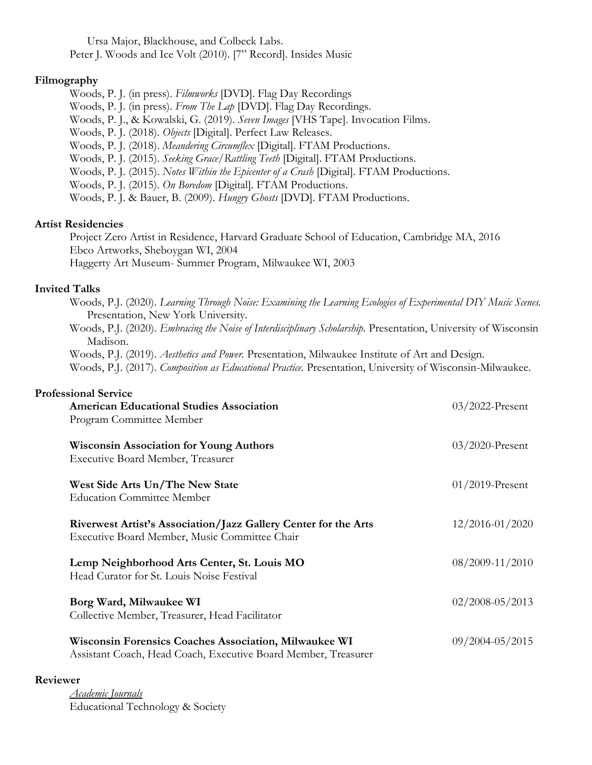Ursa Major, Blackhouse, and Colbeck Labs. Peter J. Woods and Ice Volt (2010). [7" Record]. Insides Music

### **Filmography**

Woods, P. J. (in press). *Filmworks* [DVD]. Flag Day Recordings Woods, P. J. (in press). *From The Lap* [DVD]. Flag Day Recordings. Woods, P. J., & Kowalski, G. (2019). *Seven Images* [VHS Tape]. Invocation Films. Woods, P. J. (2018). *Objects* [Digital]. Perfect Law Releases. Woods, P. J. (2018). *Meandering Circumflex* [Digital]. FTAM Productions. Woods, P. J. (2015). *Seeking Grace/Rattling Teeth* [Digital]. FTAM Productions. Woods, P. J. (2015). *Notes Within the Epicenter of a Crash* [Digital]. FTAM Productions. Woods, P. J. (2015). *On Boredom* [Digital]. FTAM Productions. Woods, P. J. & Bauer, B. (2009). *Hungry Ghosts* [DVD]. FTAM Productions.

### **Artist Residencies**

Project Zero Artist in Residence, Harvard Graduate School of Education, Cambridge MA, 2016 Ebco Artworks, Sheboygan WI, 2004 Haggerty Art Museum- Summer Program, Milwaukee WI, 2003

# **Invited Talks**

Woods, P.J. (2020). *Learning Through Noise: Examining the Learning Ecologies of Experimental DIY Music Scenes.* Presentation, New York University.

Woods, P.J. (2020). *Embracing the Noise of Interdisciplinary Scholarship.* Presentation, University of Wisconsin Madison.

Woods, P.J. (2019). *Aesthetics and Power.* Presentation, Milwaukee Institute of Art and Design.

Woods, P.J. (2017). *Composition as Educational Practice.* Presentation, University of Wisconsin-Milwaukee.

# **Professional Service**

| <b>American Educational Studies Association</b><br>Program Committee Member | 03/2022-Present     |
|-----------------------------------------------------------------------------|---------------------|
| <b>Wisconsin Association for Young Authors</b>                              | $03/2020$ -Present  |
| <b>Executive Board Member, Treasurer</b>                                    |                     |
| West Side Arts Un/The New State                                             | $01/2019$ -Present  |
| <b>Education Committee Member</b>                                           |                     |
| Riverwest Artist's Association/Jazz Gallery Center for the Arts             | 12/2016-01/2020     |
| Executive Board Member, Music Committee Chair                               |                     |
| Lemp Neighborhood Arts Center, St. Louis MO                                 | 08/2009-11/2010     |
| Head Curator for St. Louis Noise Festival                                   |                     |
| Borg Ward, Milwaukee WI                                                     | $02/2008 - 05/2013$ |
| Collective Member, Treasurer, Head Facilitator                              |                     |
| Wisconsin Forensics Coaches Association, Milwaukee WI                       | 09/2004-05/2015     |
| Assistant Coach, Head Coach, Executive Board Member, Treasurer              |                     |
| Reviewer                                                                    |                     |

*Academic Journals* Educational Technology & Society